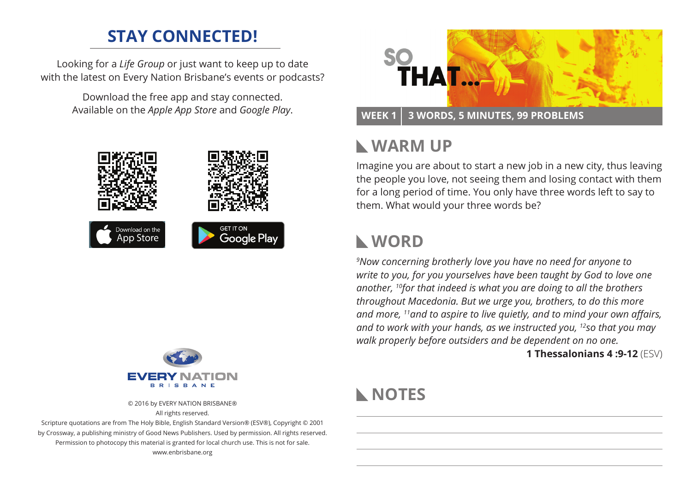## **STAY CONNECTED!**

Looking for a *Life Group* or just want to keep up to date with the latest on Every Nation Brisbane's events or podcasts?

> Download the free app and stay connected. Available on the *Apple App Store* and *Google Play*.





© 2016 by EVERY NATION BRISBANE® All rights reserved.

Scripture quotations are from The Holy Bible, English Standard Version® (ESV®), Copyright © 2001 by Crossway, a publishing ministry of Good News Publishers. Used by permission. All rights reserved. Permission to photocopy this material is granted for local church use. This is not for sale. www.enbrisbane.org



#### **WEEK 1 3 Words, 5 Minutes, 99 Problems**

## **Warm Up**

Imagine you are about to start a new job in a new city, thus leaving the people you love, not seeing them and losing contact with them for a long period of time. You only have three words left to say to them. What would your three words be?

#### **WORD**

*9 Now concerning brotherly love you have no need for anyone to write to you, for you yourselves have been taught by God to love one another, 10for that indeed is what you are doing to all the brothers throughout Macedonia. But we urge you, brothers, to do this more and more, 11and to aspire to live quietly, and to mind your own affairs, and to work with your hands, as we instructed you, 12so that you may walk properly before outsiders and be dependent on no one.*

**1 Thessalonians 4 :9-12** (ESV)

## **NOTES**